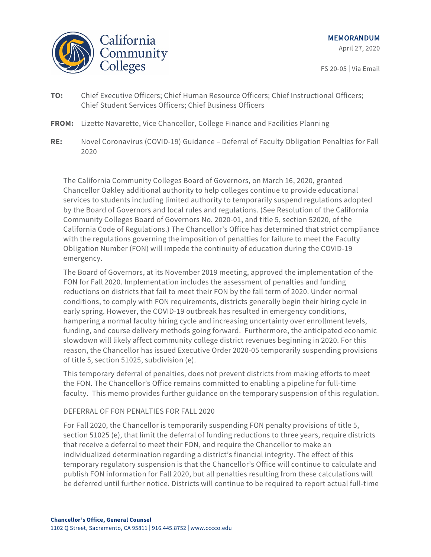

FS 20-05 | Via Email

- **TO:** Chief Executive Officers; Chief Human Resource Officers; Chief Instructional Officers; Chief Student Services Officers; Chief Business Officers
- **FROM:** Lizette Navarette, Vice Chancellor, College Finance and Facilities Planning
- **RE:** Novel Coronavirus (COVID-19) Guidance Deferral of Faculty Obligation Penalties for Fall 2020

The California Community Colleges Board of Governors, on March 16, 2020, granted Chancellor Oakley additional authority to help colleges continue to provide educational services to students including limited authority to temporarily suspend regulations adopted by the Board of Governors and local rules and regulations. (See Resolution of the California Community Colleges Board of Governors No. 2020-01, and title 5, section 52020, of the California Code of Regulations.) The Chancellor's Office has determined that strict compliance with the regulations governing the imposition of penalties for failure to meet the Faculty Obligation Number (FON) will impede the continuity of education during the COVID-19 emergency.

The Board of Governors, at its November 2019 meeting, approved the implementation of the FON for Fall 2020. Implementation includes the assessment of penalties and funding reductions on districts that fail to meet their FON by the fall term of 2020. Under normal conditions, to comply with FON requirements, districts generally begin their hiring cycle in early spring. However, the COVID-19 outbreak has resulted in emergency conditions, hampering a normal faculty hiring cycle and increasing uncertainty over enrollment levels, funding, and course delivery methods going forward. Furthermore, the anticipated economic slowdown will likely affect community college district revenues beginning in 2020. For this reason, the Chancellor has issued Executive Order 2020-05 temporarily suspending provisions of title 5, section 51025, subdivision (e).

This temporary deferral of penalties, does not prevent districts from making efforts to meet the FON. The Chancellor's Office remains committed to enabling a pipeline for full-time faculty. This memo provides further guidance on the temporary suspension of this regulation.

## DEFERRAL OF FON PENALTIES FOR FALL 2020

For Fall 2020, the Chancellor is temporarily suspending FON penalty provisions of title 5, section 51025 (e), that limit the deferral of funding reductions to three years, require districts that receive a deferral to meet their FON, and require the Chancellor to make an individualized determination regarding a district's financial integrity. The effect of this temporary regulatory suspension is that the Chancellor's Office will continue to calculate and publish FON information for Fall 2020, but all penalties resulting from these calculations will be deferred until further notice. Districts will continue to be required to report actual full-time